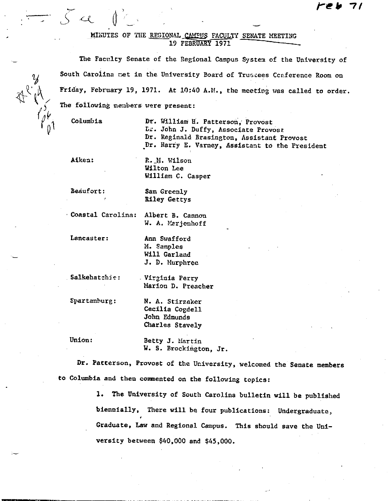## MINUTES OF THE REGIONAL CAMPUS FACULTY SENATE MEETING 19 FEBRUARY 1971

-·

The Faculty Senate of the Regional Campus System of the University of South Carolina met in the University Board of Trustees Conference Room on Friday, February 19, 1971. At 10:40 A.M., the meeting was called to order. The following members were present:

 $5a$ 

Columbia Dr. William H. Patterson, Provost Dr. John J. Duffy, Associate Provost Dr. Reginald Brasington, Assistant Provost .Dr. Harry E. Varney, Assistant to the President

Aiken: R. M. Wilson Wilton Lee William C. Casper

Beaufort: Sam Greenly **Riley** Gettys

· Coastal Carolina: Albert B. Cannon

W. A. Marjenhoff

Lancaster: Ann Swafford M. Samples Will Garland J, D, Murphree

Salkehatchie: Virginia Perry Marion D. Preacher

Spartanburg: N, A. Stirzaker

Cecilia Cogdell John Edmunds Charles Stavely

Union: Betty J. Hartin **W. S.** Brockington, Jr.

Dr, Patterson, Provost of the University, welcomed the Senate members to Columbia and then commented on the following topics:

> 1. The University of South Carolina bulletin will be published biennially, There will be four publications: Undergraduate, Graduate, Law and Regional Campus. This should save the University between \$40,000 and \$45,000.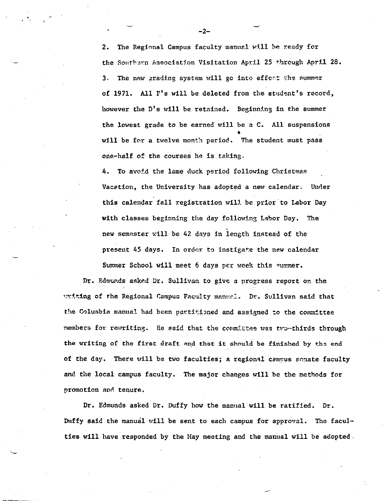2. The Regional Campus faculty manual will be ready for the Southern Association Visitation April 25 through April 28. 3. The new grading system will go into effect the summer of 1971. All F's will be deleted from the student's record, however the D's will be retained. Beginning in the summer the lowest grade to be earned will be a C. All suspensions will be for a twelve month period. The student must pass one-half of the courses he is taking.

4. To avoid the lame duck period following Christmas Vacation, the University has adopted a new calendar. Under this calendar fall registration will be prior to Labor Day with classes beginning the day following L4bor Day. The new semester will be 42 days in length instead of the present 45 days. In order to instigate the new calendar Summer School will meet 6 days per week this summer.

Dr. Edmunds asked Dr. Sullivan to give a progress report on the writing of the Regional Campus Faculty manuel. Dr. Sullivan said that the Columbia manual had been partitioned and assigned to the committee members for rewriting. He said that the committee was tvo-thirds through the writing of the first draft and that it should be finished by the end of the day. There will be two faculties; a regional campus senate faculty and the local campus faculty. The major changes will be the methods for promotion and tenure.

Dr. Edmunds asked Dr. Duffy how the manual will be ratified. Dr. Duffy said the manual will be sent to each campus for approval. The faculties will have responded by the Hay meeting and the manual will be adopted .

-2-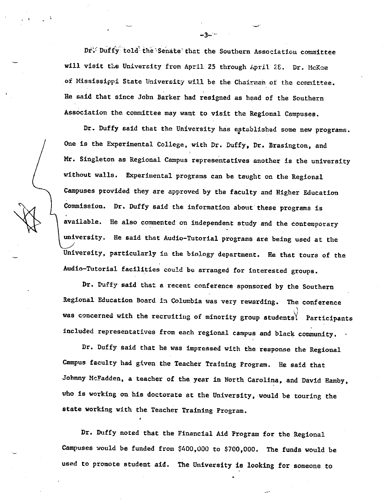Dr; Duffy told the Senate that the Southern Association committee will visit the University from April 25 through April 28. Dr. McKee of Mississippi State University will be the Chairman of the committee. He said that since John Barker had resigned as head of the Southern Association the committee may want to visit the Regional Campuses.

Dr. Duffy said that the University has established some new programs. One is the Experimental College, with Dr. Duffy, Dr. Brasington, and Mr. Singleton as Regional Campus representatives another is the university without walls, Experimental programs can be taught on the Regional Campuses provided they are approved by the faculty and Higher Education Commission. Dr, Duffy said the information about these programs is available. He also commented on independent study and the contemporary university, He said that Audio-Tutorial programs are being used at the University, particularly in the biology department. He that tours of the Audio-Tutorial facilities could be arranged for interested groups.

Dr. Duffy said that a recent conference sponsored by the Southern Regional Education Board in Columbia was very rewarding. The conference 1 was concerned with the recruiting of minority group students. Participants included representatives from each regional campus and black community,

Dr. Duffy said that he was impressed with the response the Regional Campus faculty had given the Teacher Training Program. He said that Johnny McFadden, a teacher of the year in North Carolina, and David Hamby, who is working on his doctorate at the University, would be touring the state working with the Teacher Training Program.

Dr. Duffy noted that the Financial Aid Program for the Regional Campuses would be funded from \$400,000 to \$700,000. The funds would be used to promote student aid. The University is looking for someone to

-J-'··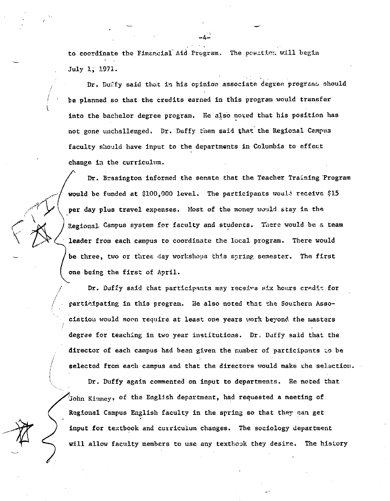to coordinate the Financial Aid Program. The position will begin July 1, 1971.

Dr. Duffy said that in his opinion associate degree programs should be planned so that the credits earned in this program would transfer into the bachelor degree program. He also noted that his position has not gone unchallenged. Dr. Duffy then said that the Regional Campus faculty should have input to the departments in Columbia to effect change in the curriculum.

Dr. Brasington informed the senate that the Teacher Training Program would be funded at \$100,000 level. The participants would receive \$15 per day plus travel expenses. Most of the money would stay in the Regional Campus system for faculty and students. There would be a team leader from each campus to coordinate the local program. There would be three, two or three day workshops this spring semester. The first one being the first of April.

Dr. Duffy said that participants may receive six hours credit for participating in this program. He also noted that the Southern Association would soon require at least one years work beyond the masters degree for teaching in two year institutions. Dr. Duffy said that the director of each campus had been given the number of participants to be selected from each campus and that the directors would make the selection.

Dr. Duffy again commented on input to departments. He noted that  $\%$ ohn Kimmev, of the English department, had requested a meeting of Regional Campus English faculty in the spring so that they can get input for textbook and curriculum changes. The sociology department will allow faculty members to use any textbook they desire. The history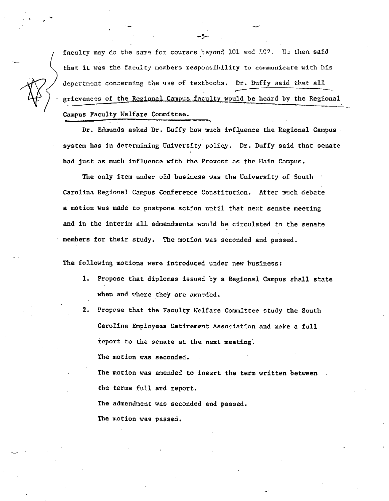faculty may do the same for courses beyond 101 and 102. We then said that it was the faculty members responsibility to communicare with his department concerning the use of textbooks. Dr. Duffy said that all grievances of the Regional Campus faculty would be heard by the Regional Campus Faculty Welfare Committee.

Dr. Edmunds asked Dr. Duffy how much influence the Regional Campus system has in determining University policy. Dr. Duffy said that senate had just as much influence with the Provost as the Main Campus.

The only item under old business was the University of South Carolina Regional Campus Conference Constitution. After much debate a motion was made to postpone action until that next senate meeting and in the interim all admendments would be circulated to the senate members for their study. The motion was seconded and passed.

The following motions were introduced under new business:

- 1. Propose that diplomas issued by a Regional Campus shall state when and where they are awarded.
- 2. Propose that the Faculty Welfare Committee study the South Carolina Employees Retirement Association and make a full report to the senate at the next meeting. The motion was seconded. The motion was amended to insert the term written between

the terms full and report.

The admendment was seconded and passed. The motion was passed.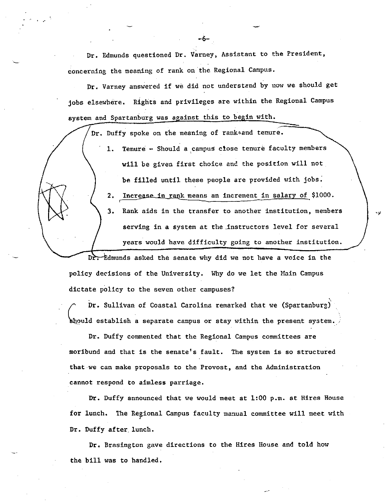Dr. Edmunds questioned Dr. Varney, Assistant to the President, concerning the meaning of rank on the Regional Campus.

-6-

• <

Dr. Varney answered if we did not understend by now we should get jobs elsewhere. Rights and privileges are within the Regional Campus system and Spartanburg was against this to begin with.

Dr. Duffy spoke on the meaning of rank•and tenure. 1. Tenure - Should a campus close tenure faculty members will be given first choice and the position will not be filled until these people are provided with jobs. 2. Increase in rank means an increment in salary of \$1000. **3.** Rank aids in the transfer to another institution, members serving in a system at the\_instructors level for several years would have difficulty going to another institution.

Dr. Edmunds asked the senate why did we not have a voice in the policy decisions of the University. Why do we let the Main Campus dictate policy to the seven other campuses?

 $\curvearrowright$  Dr. Sullivan of Coastal Carolina remarked that we (Spartanburg)  $\mathbf{p}$  is a separate campus or stay within the present system.

Dr. Duffy commented that the Regional Campus committees are moribund and that is the senate's fault. The system is so structured that.we can make proposals to the Provost, and the Administration cannot respond to aimless parriage.

Dr. Duffy announced that we would meet at 1:00 p.m. at Hires House for lunch. The Regional Campus faculty manual committee will meet with Dr. Duffy after. lunch.

Dr. Brasington gave directions to the Hires House and told how the bill was to handled.